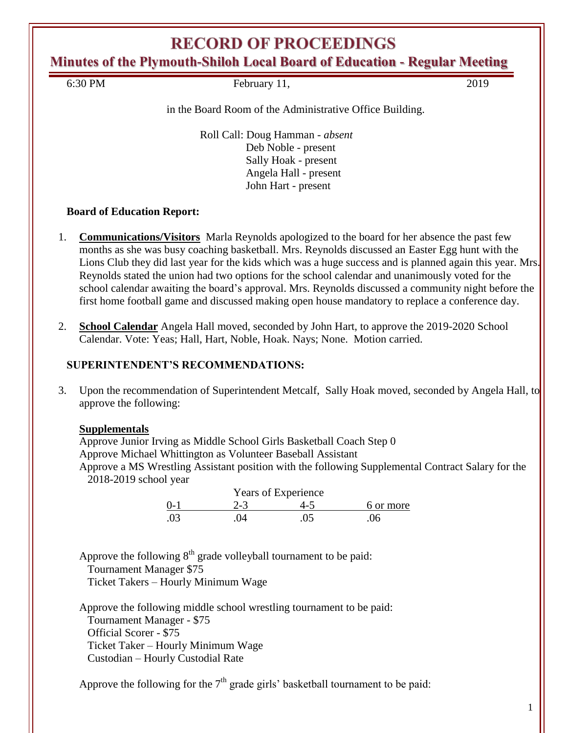# **RECORD OF PROCEEDINGS**

**Minutes of the Plymouth-Shiloh Local Board of Education - Regular Meeting**

6:30 PM February 11, 2019

in the Board Room of the Administrative Office Building.

Roll Call: Doug Hamman - *absent* Deb Noble - present Sally Hoak - present Angela Hall - present John Hart - present

### **Board of Education Report:**

- 1. **Communications/Visitors** Marla Reynolds apologized to the board for her absence the past few months as she was busy coaching basketball. Mrs. Reynolds discussed an Easter Egg hunt with the Lions Club they did last year for the kids which was a huge success and is planned again this year. Mrs. Reynolds stated the union had two options for the school calendar and unanimously voted for the school calendar awaiting the board's approval. Mrs. Reynolds discussed a community night before the first home football game and discussed making open house mandatory to replace a conference day.
- 2. **School Calendar** Angela Hall moved, seconded by John Hart, to approve the 2019-2020 School Calendar. Vote: Yeas; Hall, Hart, Noble, Hoak. Nays; None. Motion carried.

### **SUPERINTENDENT'S RECOMMENDATIONS:**

3. Upon the recommendation of Superintendent Metcalf, Sally Hoak moved, seconded by Angela Hall, to approve the following:

### **Supplementals**

Approve Junior Irving as Middle School Girls Basketball Coach Step 0 Approve Michael Whittington as Volunteer Baseball Assistant Approve a MS Wrestling Assistant position with the following Supplemental Contract Salary for the 2018-2019 school year

| Years of Experience |         |     |           |  |
|---------------------|---------|-----|-----------|--|
| $0-1$               | $2 - 3$ | 4-5 | 6 or more |  |
| .03                 | 04      | .05 | 06        |  |

Approve the following  $8<sup>th</sup>$  grade volleyball tournament to be paid: Tournament Manager \$75 Ticket Takers – Hourly Minimum Wage

Approve the following middle school wrestling tournament to be paid: Tournament Manager - \$75 Official Scorer - \$75 Ticket Taker – Hourly Minimum Wage Custodian – Hourly Custodial Rate

Approve the following for the  $7<sup>th</sup>$  grade girls' basketball tournament to be paid: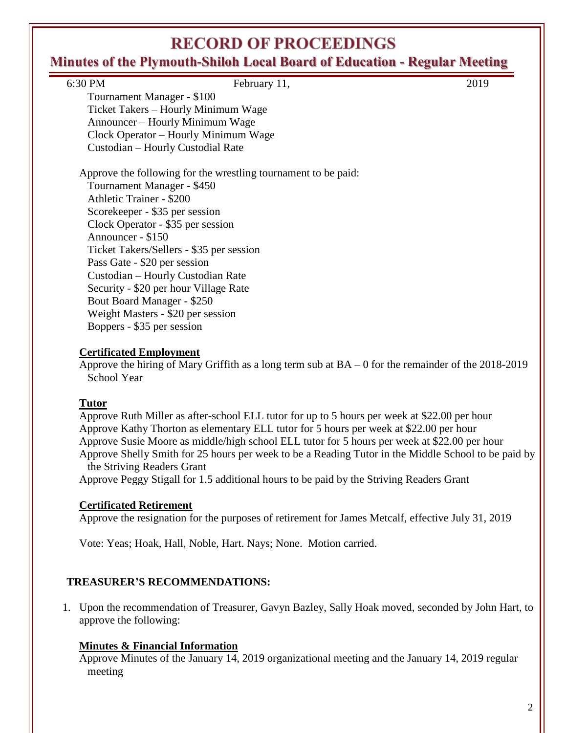# **RECORD OF PROCEEDINGS**

## **Minutes of the Plymouth-Shiloh Local Board of Education - Regular Meeting**

| 2019                                                           |
|----------------------------------------------------------------|
|                                                                |
|                                                                |
|                                                                |
|                                                                |
|                                                                |
|                                                                |
|                                                                |
| Approve the following for the wrestling tournament to be paid: |
|                                                                |
|                                                                |
|                                                                |
|                                                                |
|                                                                |
|                                                                |
|                                                                |
|                                                                |
|                                                                |
|                                                                |
|                                                                |
|                                                                |
|                                                                |

#### **Certificated Employment**

Approve the hiring of Mary Griffith as a long term sub at BA – 0 for the remainder of the 2018-2019 School Year

#### **Tutor**

Approve Ruth Miller as after-school ELL tutor for up to 5 hours per week at \$22.00 per hour Approve Kathy Thorton as elementary ELL tutor for 5 hours per week at \$22.00 per hour Approve Susie Moore as middle/high school ELL tutor for 5 hours per week at \$22.00 per hour Approve Shelly Smith for 25 hours per week to be a Reading Tutor in the Middle School to be paid by the Striving Readers Grant

Approve Peggy Stigall for 1.5 additional hours to be paid by the Striving Readers Grant

#### **Certificated Retirement**

Approve the resignation for the purposes of retirement for James Metcalf, effective July 31, 2019

Vote: Yeas; Hoak, Hall, Noble, Hart. Nays; None. Motion carried.

#### **TREASURER'S RECOMMENDATIONS:**

1. Upon the recommendation of Treasurer, Gavyn Bazley, Sally Hoak moved, seconded by John Hart, to approve the following:

#### **Minutes & Financial Information**

Approve Minutes of the January 14, 2019 organizational meeting and the January 14, 2019 regular meeting